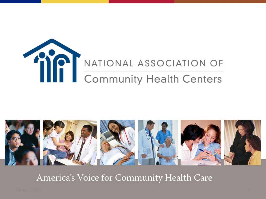



America's Voice for Community Health Care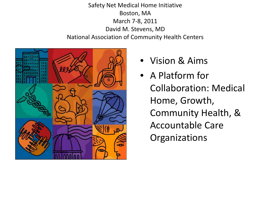Safety Net Medical Home Initiative Boston, MA March 7-8, 2011 David M. Stevens, MD National Association of Community Health Centers



- Vision & Aims
- A Platform for Collaboration: Medical Home, Growth, Community Health, & Accountable Care **Organizations**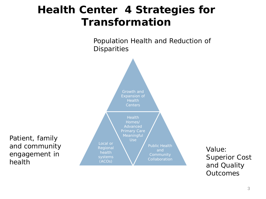# **Health Center 4 Strategies for Transformation**

Population Health and Reduction of **Disparities** 



Patient, family and community engagement in health

and Quality **Outcomes**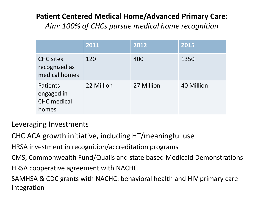# **Patient Centered Medical Home/Advanced Primary Care:**

*Aim: 100% of CHCs pursue medical home recognition* 

|                                                       | 2011       | 2012       | 2015       |
|-------------------------------------------------------|------------|------------|------------|
| <b>CHC sites</b><br>recognized as<br>medical homes    | 120        | 400        | 1350       |
| Patients<br>engaged in<br><b>CHC</b> medical<br>homes | 22 Million | 27 Million | 40 Million |

## Leveraging Investments

CHC ACA growth initiative, including HT/meaningful use

HRSA investment in recognition/accreditation programs

CMS, Commonwealth Fund/Qualis and state based Medicaid Demonstrations

HRSA cooperative agreement with NACHC

SAMHSA & CDC grants with NACHC: behavioral health and HIV primary care integration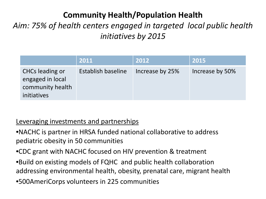# **Community Health/Population Health**

# *Aim: 75% of health centers engaged in targeted local public health initiatives by 2015*

|                                                                        | 2011               | 2012            | 2015            |
|------------------------------------------------------------------------|--------------------|-----------------|-----------------|
| CHCs leading or<br>engaged in local<br>community health<br>initiatives | Establish baseline | Increase by 25% | Increase by 50% |

#### Leveraging investments and partnerships

- •NACHC is partner in HRSA funded national collaborative to address pediatric obesity in 50 communities
- •CDC grant with NACHC focused on HIV prevention & treatment
- •Build on existing models of FQHC and public health collaboration addressing environmental health, obesity, prenatal care, migrant health
- •500AmeriCorps volunteers in 225 communities